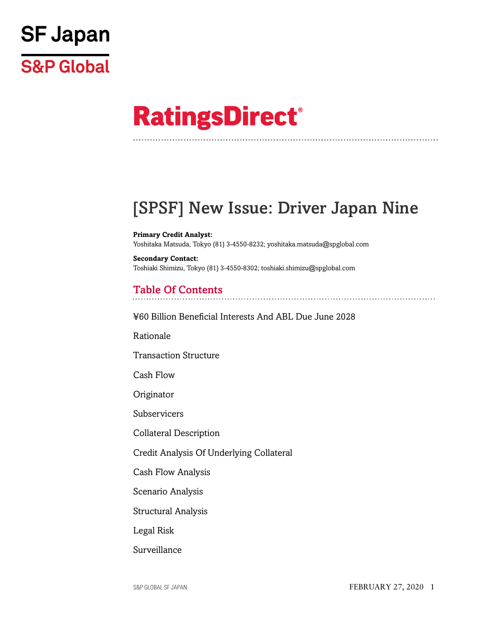

# **RatingsDirect®**

# [SPSF] New Issue: Driver Japan Nine

**Primary Credit Analyst:** Yoshitaka Matsuda, Tokyo (81) 3-4550-8232; yoshitaka.matsuda@spglobal.com

**Secondary Contact:** Toshiaki Shimizu, Tokyo (81) 3-4550-8302; toshiaki.shimizu@spglobal.com

# Table Of Contents

[¥60 Billion Beneficial Interests And ABL Due June 2028](#page-2-0)

[Rationale](#page-3-0)

[Transaction Structure](#page-4-0)

[Cash Flow](#page-5-0)

**[Originator](#page-7-0)** 

[Subservicers](#page-7-1)

[Collateral Description](#page-7-2)

[Credit Analysis Of Underlying Collateral](#page-13-0)

[Cash Flow Analysis](#page-16-0)

[Scenario Analysis](#page-17-0)

[Structural Analysis](#page-18-0)

[Legal Risk](#page-19-0)

[Surveillance](#page-19-1)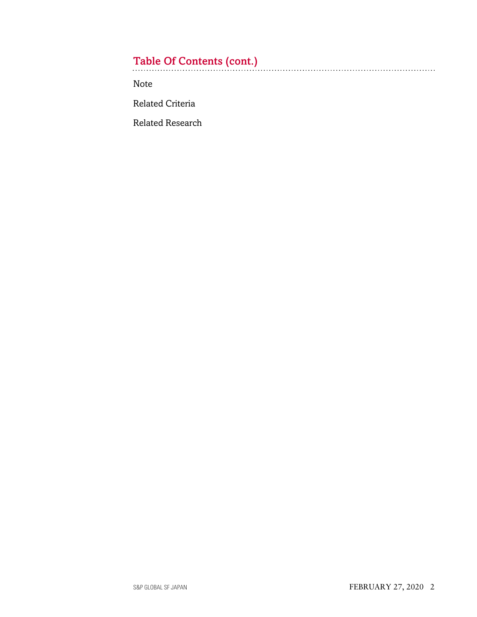# Table Of Contents (cont.)

[Note](#page-20-0)

[Related Criteria](#page-20-1)

[Related Research](#page-20-2)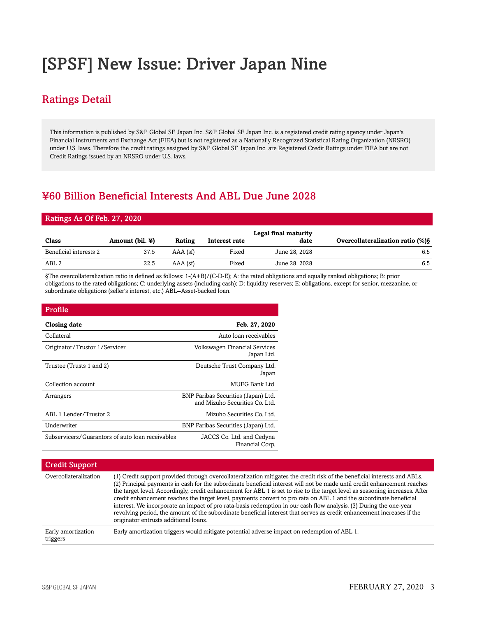# [SPSF] New Issue: Driver Japan Nine

# Ratings Detail

This information is published by S&P Global SF Japan Inc. S&P Global SF Japan Inc. is a registered credit rating agency under Japan's Financial Instruments and Exchange Act (FIEA) but is not registered as a Nationally Recognized Statistical Rating Organization (NRSRO) under U.S. laws. Therefore the credit ratings assigned by S&P Global SF Japan Inc. are Registered Credit Ratings under FIEA but are not Credit Ratings issued by an NRSRO under U.S. laws.

# <span id="page-2-0"></span>¥60 Billion Beneficial Interests And ABL Due June 2028

#### Ratings As Of Feb. 27, 2020

| Class                  | Amount (bil. $\mathbf{\Psi}$ ) | Rating     | Interest rate | Legal final maturity<br>date | Overcollateralization ratio (%) § |
|------------------------|--------------------------------|------------|---------------|------------------------------|-----------------------------------|
| Beneficial interests 2 | 37.5                           | $AAA$ (sf) | Fixed         | June 28, 2028                | 6.5                               |
| ABL 2                  | 22.5                           | $AAA$ (sf) | Fixed         | June 28, 2028                | 6.5                               |

§The overcollateralization ratio is defined as follows: 1-(A+B)/(C-D-E); A: the rated obligations and equally ranked obligations; B: prior obligations to the rated obligations; C: underlying assets (including cash); D: liquidity reserves; E: obligations, except for senior, mezzanine, or subordinate obligations (seller's interest, etc.) ABL--Asset-backed loan.

| Profile                                          |                                                                       |
|--------------------------------------------------|-----------------------------------------------------------------------|
| Closing date                                     | Feb. 27, 2020                                                         |
| Collateral                                       | Auto loan receivables                                                 |
| Originator/Trustor 1/Servicer                    | Volkswagen Financial Services<br>Japan Ltd.                           |
| Trustee (Trusts 1 and 2)                         | Deutsche Trust Company Ltd.<br>Japan                                  |
| Collection account                               | MUFG Bank Ltd.                                                        |
| Arrangers                                        | BNP Paribas Securities (Japan) Ltd.<br>and Mizuho Securities Co. Ltd. |
| ABL 1 Lender/Trustor 2                           | Mizuho Securities Co. Ltd.                                            |
| Underwriter                                      | BNP Paribas Securities (Japan) Ltd.                                   |
| Subservicers/Guarantors of auto loan receivables | JACCS Co. Ltd. and Cedyna<br>Financial Corp.                          |

| <b>Credit Support</b>          |                                                                                                                                                                                                                                                                                                                                                                                                                                                                                                                                                                                                                                                                                                                                                                                                     |
|--------------------------------|-----------------------------------------------------------------------------------------------------------------------------------------------------------------------------------------------------------------------------------------------------------------------------------------------------------------------------------------------------------------------------------------------------------------------------------------------------------------------------------------------------------------------------------------------------------------------------------------------------------------------------------------------------------------------------------------------------------------------------------------------------------------------------------------------------|
| Overcollateralization          | (1) Credit support provided through overcollateralization mitigates the credit risk of the beneficial interests and ABLs.<br>(2) Principal payments in cash for the subordinate beneficial interest will not be made until credit enhancement reaches<br>the target level. Accordingly, credit enhancement for ABL 1 is set to rise to the target level as seasoning increases. After<br>credit enhancement reaches the target level, payments convert to pro rata on ABL 1 and the subordinate beneficial<br>interest. We incorporate an impact of pro rata-basis redemption in our cash flow analysis. (3) During the one-year<br>revolving period, the amount of the subordinate beneficial interest that serves as credit enhancement increases if the<br>originator entrusts additional loans. |
| Early amortization<br>triggers | Early amortization triggers would mitigate potential adverse impact on redemption of ABL 1.                                                                                                                                                                                                                                                                                                                                                                                                                                                                                                                                                                                                                                                                                                         |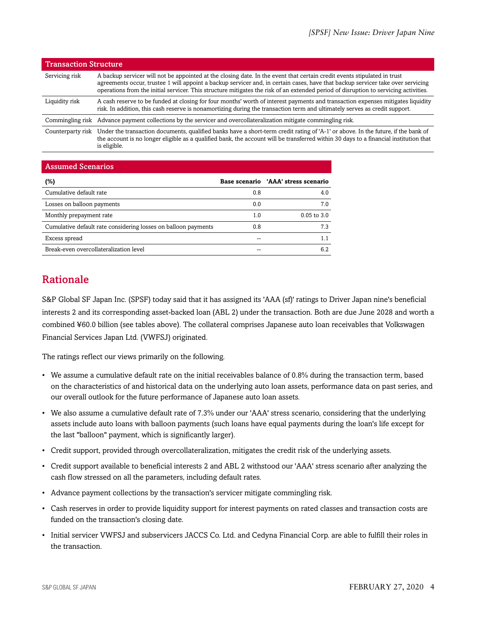| <b>Transaction Structure</b> |                                                                                                                                                                                                                                                                                                                                                                                                     |
|------------------------------|-----------------------------------------------------------------------------------------------------------------------------------------------------------------------------------------------------------------------------------------------------------------------------------------------------------------------------------------------------------------------------------------------------|
| Servicing risk               | A backup servicer will not be appointed at the closing date. In the event that certain credit events stipulated in trust<br>agreements occur, trustee 1 will appoint a backup servicer and, in certain cases, have that backup servicer take over servicing<br>operations from the initial servicer. This structure mitigates the risk of an extended period of disruption to servicing activities. |
| Liquidity risk               | A cash reserve to be funded at closing for four months' worth of interest payments and transaction expenses mitigates liquidity<br>risk. In addition, this cash reserve is nonamortizing during the transaction term and ultimately serves as credit support.                                                                                                                                       |
| Commingling risk             | Advance payment collections by the servicer and overcollateralization mitigate commingling risk.                                                                                                                                                                                                                                                                                                    |
|                              | Counterparty risk Under the transaction documents, qualified banks have a short-term credit rating of 'A-1' or above. In the future, if the bank of<br>the account is no longer eligible as a qualified bank, the account will be transferred within 30 days to a financial institution that<br>is eligible.                                                                                        |

#### Assumed Scenarios

| (%)                                                            |     | Base scenario 'AAA' stress scenario |
|----------------------------------------------------------------|-----|-------------------------------------|
| Cumulative default rate                                        | 0.8 | 4.0                                 |
| Losses on balloon payments                                     | 0.0 | 7.0                                 |
| Monthly prepayment rate                                        | 1.0 | $0.05$ to $3.0$                     |
| Cumulative default rate considering losses on balloon payments | 0.8 | 7.3                                 |
| Excess spread                                                  |     |                                     |
| Break-even overcollateralization level                         |     | 6.2                                 |

# <span id="page-3-0"></span>Rationale

S&P Global SF Japan Inc. (SPSF) today said that it has assigned its 'AAA (sf)' ratings to Driver Japan nine's beneficial interests 2 and its corresponding asset-backed loan (ABL 2) under the transaction. Both are due June 2028 and worth a combined ¥60.0 billion (see tables above). The collateral comprises Japanese auto loan receivables that Volkswagen Financial Services Japan Ltd. (VWFSJ) originated.

The ratings reflect our views primarily on the following.

- We assume a cumulative default rate on the initial receivables balance of 0.8% during the transaction term, based on the characteristics of and historical data on the underlying auto loan assets, performance data on past series, and our overall outlook for the future performance of Japanese auto loan assets.
- We also assume a cumulative default rate of 7.3% under our 'AAA' stress scenario, considering that the underlying assets include auto loans with balloon payments (such loans have equal payments during the loan's life except for the last "balloon" payment, which is significantly larger).
- Credit support, provided through overcollateralization, mitigates the credit risk of the underlying assets.
- Credit support available to beneficial interests 2 and ABL 2 withstood our 'AAA' stress scenario after analyzing the cash flow stressed on all the parameters, including default rates.
- Advance payment collections by the transaction's servicer mitigate commingling risk.
- Cash reserves in order to provide liquidity support for interest payments on rated classes and transaction costs are funded on the transaction's closing date.
- Initial servicer VWFSJ and subservicers JACCS Co. Ltd. and Cedyna Financial Corp. are able to fulfill their roles in the transaction.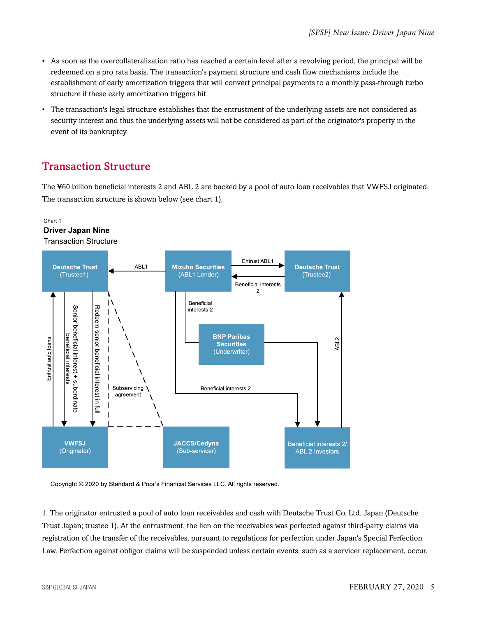- As soon as the overcollateralization ratio has reached a certain level after a revolving period, the principal will be redeemed on a pro rata basis. The transaction's payment structure and cash flow mechanisms include the establishment of early amortization triggers that will convert principal payments to a monthly pass-through turbo structure if these early amortization triggers hit.
- The transaction's legal structure establishes that the entrustment of the underlying assets are not considered as security interest and thus the underlying assets will not be considered as part of the originator's property in the event of its bankruptcy.

# <span id="page-4-0"></span>Transaction Structure

The ¥60 billion beneficial interests 2 and ABL 2 are backed by a pool of auto loan receivables that VWFSJ originated. The transaction structure is shown below (see chart 1).

#### Chart 1 **Driver Japan Nine Transaction Structure**



Copyright @ 2020 by Standard & Poor's Financial Services LLC. All rights reserved.

1. The originator entrusted a pool of auto loan receivables and cash with Deutsche Trust Co. Ltd. Japan (Deutsche Trust Japan; trustee 1). At the entrustment, the lien on the receivables was perfected against third-party claims via registration of the transfer of the receivables, pursuant to regulations for perfection under Japan's Special Perfection Law. Perfection against obligor claims will be suspended unless certain events, such as a servicer replacement, occur.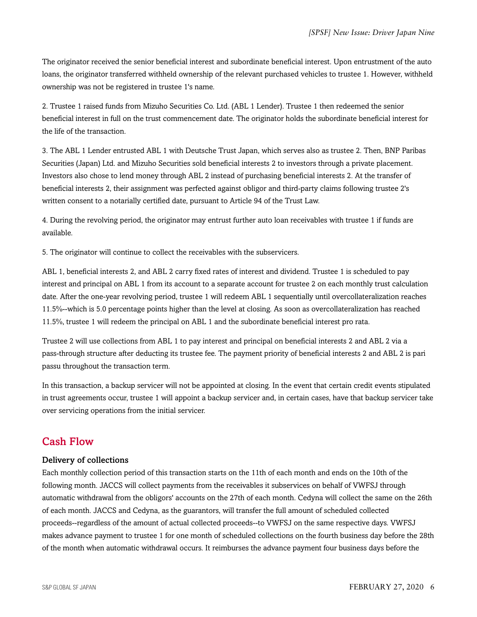The originator received the senior beneficial interest and subordinate beneficial interest. Upon entrustment of the auto loans, the originator transferred withheld ownership of the relevant purchased vehicles to trustee 1. However, withheld ownership was not be registered in trustee 1's name.

2. Trustee 1 raised funds from Mizuho Securities Co. Ltd. (ABL 1 Lender). Trustee 1 then redeemed the senior beneficial interest in full on the trust commencement date. The originator holds the subordinate beneficial interest for the life of the transaction.

3. The ABL 1 Lender entrusted ABL 1 with Deutsche Trust Japan, which serves also as trustee 2. Then, BNP Paribas Securities (Japan) Ltd. and Mizuho Securities sold beneficial interests 2 to investors through a private placement. Investors also chose to lend money through ABL 2 instead of purchasing beneficial interests 2. At the transfer of beneficial interests 2, their assignment was perfected against obligor and third-party claims following trustee 2's written consent to a notarially certified date, pursuant to Article 94 of the Trust Law.

4. During the revolving period, the originator may entrust further auto loan receivables with trustee 1 if funds are available.

5. The originator will continue to collect the receivables with the subservicers.

ABL 1, beneficial interests 2, and ABL 2 carry fixed rates of interest and dividend. Trustee 1 is scheduled to pay interest and principal on ABL 1 from its account to a separate account for trustee 2 on each monthly trust calculation date. After the one-year revolving period, trustee 1 will redeem ABL 1 sequentially until overcollateralization reaches 11.5%--which is 5.0 percentage points higher than the level at closing. As soon as overcollateralization has reached 11.5%, trustee 1 will redeem the principal on ABL 1 and the subordinate beneficial interest pro rata.

Trustee 2 will use collections from ABL 1 to pay interest and principal on beneficial interests 2 and ABL 2 via a pass-through structure after deducting its trustee fee. The payment priority of beneficial interests 2 and ABL 2 is pari passu throughout the transaction term.

In this transaction, a backup servicer will not be appointed at closing. In the event that certain credit events stipulated in trust agreements occur, trustee 1 will appoint a backup servicer and, in certain cases, have that backup servicer take over servicing operations from the initial servicer.

### <span id="page-5-0"></span>Cash Flow

#### Delivery of collections

Each monthly collection period of this transaction starts on the 11th of each month and ends on the 10th of the following month. JACCS will collect payments from the receivables it subservices on behalf of VWFSJ through automatic withdrawal from the obligors' accounts on the 27th of each month. Cedyna will collect the same on the 26th of each month. JACCS and Cedyna, as the guarantors, will transfer the full amount of scheduled collected proceeds--regardless of the amount of actual collected proceeds--to VWFSJ on the same respective days. VWFSJ makes advance payment to trustee 1 for one month of scheduled collections on the fourth business day before the 28th of the month when automatic withdrawal occurs. It reimburses the advance payment four business days before the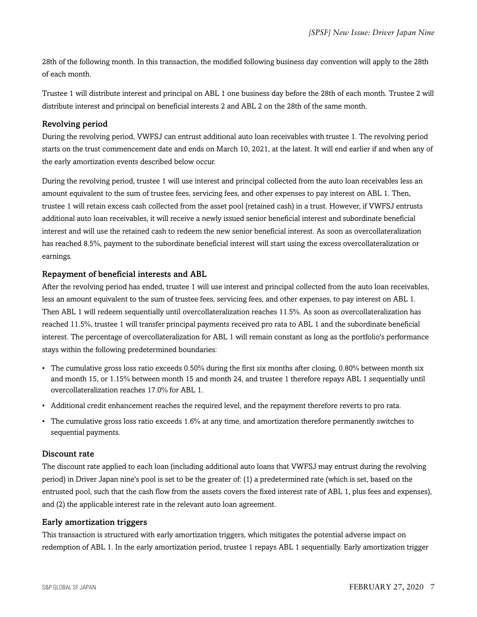28th of the following month. In this transaction, the modified following business day convention will apply to the 28th of each month.

Trustee 1 will distribute interest and principal on ABL 1 one business day before the 28th of each month. Trustee 2 will distribute interest and principal on beneficial interests 2 and ABL 2 on the 28th of the same month.

#### Revolving period

During the revolving period, VWFSJ can entrust additional auto loan receivables with trustee 1. The revolving period starts on the trust commencement date and ends on March 10, 2021, at the latest. It will end earlier if and when any of the early amortization events described below occur.

During the revolving period, trustee 1 will use interest and principal collected from the auto loan receivables less an amount equivalent to the sum of trustee fees, servicing fees, and other expenses to pay interest on ABL 1. Then, trustee 1 will retain excess cash collected from the asset pool (retained cash) in a trust. However, if VWFSJ entrusts additional auto loan receivables, it will receive a newly issued senior beneficial interest and subordinate beneficial interest and will use the retained cash to redeem the new senior beneficial interest. As soon as overcollateralization has reached 8.5%, payment to the subordinate beneficial interest will start using the excess overcollateralization or earnings.

#### Repayment of beneficial interests and ABL

After the revolving period has ended, trustee 1 will use interest and principal collected from the auto loan receivables, less an amount equivalent to the sum of trustee fees, servicing fees, and other expenses, to pay interest on ABL 1. Then ABL 1 will redeem sequentially until overcollateralization reaches 11.5%. As soon as overcollateralization has reached 11.5%, trustee 1 will transfer principal payments received pro rata to ABL 1 and the subordinate beneficial interest. The percentage of overcollateralization for ABL 1 will remain constant as long as the portfolio's performance stays within the following predetermined boundaries:

- The cumulative gross loss ratio exceeds 0.50% during the first six months after closing, 0.80% between month six and month 15, or 1.15% between month 15 and month 24, and trustee 1 therefore repays ABL 1 sequentially until overcollateralization reaches 17.0% for ABL 1.
- Additional credit enhancement reaches the required level, and the repayment therefore reverts to pro rata.
- The cumulative gross loss ratio exceeds 1.6% at any time, and amortization therefore permanently switches to sequential payments.

#### Discount rate

The discount rate applied to each loan (including additional auto loans that VWFSJ may entrust during the revolving period) in Driver Japan nine's pool is set to be the greater of: (1) a predetermined rate (which is set, based on the entrusted pool, such that the cash flow from the assets covers the fixed interest rate of ABL 1, plus fees and expenses), and (2) the applicable interest rate in the relevant auto loan agreement.

#### Early amortization triggers

This transaction is structured with early amortization triggers, which mitigates the potential adverse impact on redemption of ABL 1. In the early amortization period, trustee 1 repays ABL 1 sequentially. Early amortization trigger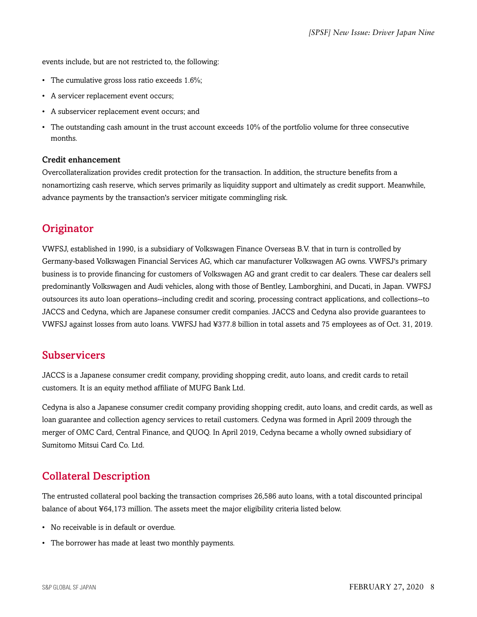events include, but are not restricted to, the following:

- The cumulative gross loss ratio exceeds 1.6%;
- A servicer replacement event occurs;
- A subservicer replacement event occurs; and
- The outstanding cash amount in the trust account exceeds 10% of the portfolio volume for three consecutive months.

#### Credit enhancement

Overcollateralization provides credit protection for the transaction. In addition, the structure benefits from a nonamortizing cash reserve, which serves primarily as liquidity support and ultimately as credit support. Meanwhile, advance payments by the transaction's servicer mitigate commingling risk.

# <span id="page-7-0"></span>**Originator**

VWFSJ, established in 1990, is a subsidiary of Volkswagen Finance Overseas B.V. that in turn is controlled by Germany-based Volkswagen Financial Services AG, which car manufacturer Volkswagen AG owns. VWFSJ's primary business is to provide financing for customers of Volkswagen AG and grant credit to car dealers. These car dealers sell predominantly Volkswagen and Audi vehicles, along with those of Bentley, Lamborghini, and Ducati, in Japan. VWFSJ outsources its auto loan operations--including credit and scoring, processing contract applications, and collections--to JACCS and Cedyna, which are Japanese consumer credit companies. JACCS and Cedyna also provide guarantees to VWFSJ against losses from auto loans. VWFSJ had ¥377.8 billion in total assets and 75 employees as of Oct. 31, 2019.

### <span id="page-7-1"></span>Subservicers

JACCS is a Japanese consumer credit company, providing shopping credit, auto loans, and credit cards to retail customers. It is an equity method affiliate of MUFG Bank Ltd.

Cedyna is also a Japanese consumer credit company providing shopping credit, auto loans, and credit cards, as well as loan guarantee and collection agency services to retail customers. Cedyna was formed in April 2009 through the merger of OMC Card, Central Finance, and QUOQ. In April 2019, Cedyna became a wholly owned subsidiary of Sumitomo Mitsui Card Co. Ltd.

# <span id="page-7-2"></span>Collateral Description

The entrusted collateral pool backing the transaction comprises 26,586 auto loans, with a total discounted principal balance of about ¥64,173 million. The assets meet the major eligibility criteria listed below.

- No receivable is in default or overdue.
- The borrower has made at least two monthly payments.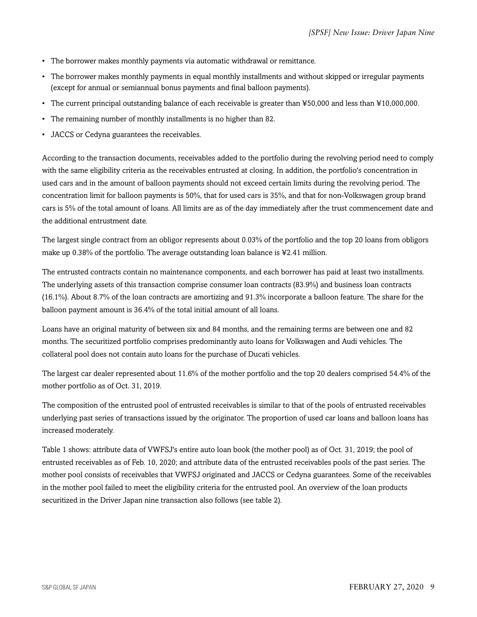- The borrower makes monthly payments via automatic withdrawal or remittance.
- The borrower makes monthly payments in equal monthly installments and without skipped or irregular payments (except for annual or semiannual bonus payments and final balloon payments).
- The current principal outstanding balance of each receivable is greater than ¥50,000 and less than ¥10,000,000.
- The remaining number of monthly installments is no higher than 82.
- JACCS or Cedyna guarantees the receivables.

According to the transaction documents, receivables added to the portfolio during the revolving period need to comply with the same eligibility criteria as the receivables entrusted at closing. In addition, the portfolio's concentration in used cars and in the amount of balloon payments should not exceed certain limits during the revolving period. The concentration limit for balloon payments is 50%, that for used cars is 35%, and that for non-Volkswagen group brand cars is 5% of the total amount of loans. All limits are as of the day immediately after the trust commencement date and the additional entrustment date.

The largest single contract from an obligor represents about 0.03% of the portfolio and the top 20 loans from obligors make up  $0.38\%$  of the portfolio. The average outstanding loan balance is ¥2.41 million.

The entrusted contracts contain no maintenance components, and each borrower has paid at least two installments. The underlying assets of this transaction comprise consumer loan contracts (83.9%) and business loan contracts (16.1%). About 8.7% of the loan contracts are amortizing and 91.3% incorporate a balloon feature. The share for the balloon payment amount is 36.4% of the total initial amount of all loans.

Loans have an original maturity of between six and 84 months, and the remaining terms are between one and 82 months. The securitized portfolio comprises predominantly auto loans for Volkswagen and Audi vehicles. The collateral pool does not contain auto loans for the purchase of Ducati vehicles.

The largest car dealer represented about 11.6% of the mother portfolio and the top 20 dealers comprised 54.4% of the mother portfolio as of Oct. 31, 2019.

The composition of the entrusted pool of entrusted receivables is similar to that of the pools of entrusted receivables underlying past series of transactions issued by the originator. The proportion of used car loans and balloon loans has increased moderately.

Table 1 shows: attribute data of VWFSJ's entire auto loan book (the mother pool) as of Oct. 31, 2019; the pool of entrusted receivables as of Feb. 10, 2020; and attribute data of the entrusted receivables pools of the past series. The mother pool consists of receivables that VWFSJ originated and JACCS or Cedyna guarantees. Some of the receivables in the mother pool failed to meet the eligibility criteria for the entrusted pool. An overview of the loan products securitized in the Driver Japan nine transaction also follows (see table 2).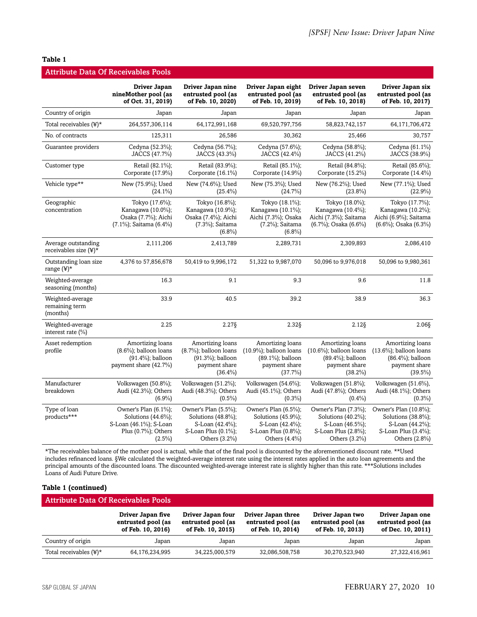#### **Table 1**

|                                                    | <b>Attribute Data Of Receivables Pools</b>                                                                       |                                                                                                       |                                                                                                          |                                                                                                           |                                                                                                        |
|----------------------------------------------------|------------------------------------------------------------------------------------------------------------------|-------------------------------------------------------------------------------------------------------|----------------------------------------------------------------------------------------------------------|-----------------------------------------------------------------------------------------------------------|--------------------------------------------------------------------------------------------------------|
|                                                    | Driver Japan<br>nineMother pool (as<br>of Oct. 31, 2019)                                                         | Driver Japan nine<br>entrusted pool (as<br>of Feb. 10, 2020)                                          | Driver Japan eight<br>entrusted pool (as<br>of Feb. 10, 2019)                                            | Driver Japan seven<br>entrusted pool (as<br>of Feb. 10, 2018)                                             | Driver Japan six<br>entrusted pool (as<br>of Feb. 10, 2017)                                            |
| Country of origin                                  | Japan                                                                                                            | Japan                                                                                                 | Japan                                                                                                    | Japan                                                                                                     | Japan                                                                                                  |
| Total receivables $(\frac{1}{2})^*$                | 264,557,306,114                                                                                                  | 64,172,991,168                                                                                        | 69,520,797,756                                                                                           | 58,823,742,157                                                                                            | 64,171,706,472                                                                                         |
| No. of contracts                                   | 125,311                                                                                                          | 26,586                                                                                                | 30,362                                                                                                   | 25,466                                                                                                    | 30,757                                                                                                 |
| Guarantee providers                                | Cedyna (52.3%);<br>JACCS (47.7%)                                                                                 | Cedyna (56.7%);<br>JACCS (43.3%)                                                                      | Cedyna (57.6%);<br>JACCS (42.4%)                                                                         | Cedyna (58.8%);<br>JACCS (41.2%)                                                                          | Cedyna (61.1%)<br>JACCS (38.9%)                                                                        |
| Customer type                                      | Retail (82.1%);<br>Corporate (17.9%)                                                                             | Retail (83.9%);<br>Corporate (16.1%)                                                                  | Retail (85.1%);<br>Corporate (14.9%)                                                                     | Retail (84.8%);<br>Corporate (15.2%)                                                                      | Retail (85.6%);<br>Corporate (14.4%)                                                                   |
| Vehicle type**                                     | New (75.9%); Used<br>$(24.1\%)$                                                                                  | New (74.6%); Used<br>$(25.4\%)$                                                                       | New (75.3%); Used<br>$(24.7\%)$                                                                          | New (76.2%); Used<br>$(23.8\%)$                                                                           | New (77.1%); Used<br>$(22.9\%)$                                                                        |
| Geographic<br>concentration                        | Tokyo (17.6%);<br>Kanagawa (10.0%);<br>Osaka (7.7%); Aichi<br>(7.1%); Saitama (6.4%)                             | Tokyo (16.8%);<br>Kanagawa (10.9%);<br>Osaka (7.4%); Aichi<br>(7.3%); Saitama<br>$(6.8\%)$            | Tokyo (18.1%);<br>Kanagawa (10.1%);<br>Aichi (7.3%); Osaka<br>(7.2%); Saitama<br>$(6.8\%)$               | Tokyo (18.0%);<br>Kanagawa (10.4%);<br>Aichi (7.3%); Saitama<br>(6.7%); Osaka (6.6%)                      | Tokyo (17.7%);<br>Kanagawa (10.2%);<br>Aichi (6.9%); Saitama<br>$(6.6\%)$ ; Osaka $(6.3\%)$            |
| Average outstanding<br>receivables size $(\yen)^*$ | 2,111,206                                                                                                        | 2,413,789                                                                                             | 2,289,731                                                                                                | 2,309,893                                                                                                 | 2,086,410                                                                                              |
| Outstanding loan size<br>range (¥)*                | 4,376 to 57,856,678                                                                                              | 50,419 to 9,996,172                                                                                   | 51,322 to 9,987,070                                                                                      | 50,096 to 9,976,018                                                                                       | 50,096 to 9,980,361                                                                                    |
| Weighted-average<br>seasoning (months)             | 16.3                                                                                                             | 9.1                                                                                                   | 9.3                                                                                                      | 9.6                                                                                                       | 11.8                                                                                                   |
| Weighted-average<br>remaining term<br>(months)     | 33.9                                                                                                             | 40.5                                                                                                  | 39.2                                                                                                     | 38.9                                                                                                      | 36.3                                                                                                   |
| Weighted-average<br>interest rate (%)              | 2.25                                                                                                             | $2.27\S$                                                                                              | $2.32\S$                                                                                                 | $2.12$ §                                                                                                  | $2.06\S$                                                                                               |
| Asset redemption<br>profile                        | Amortizing loans<br>$(8.6\%)$ ; balloon loans<br>$(91.4\%)$ ; balloon<br>payment share (42.7%)                   | Amortizing loans<br>$(8.7\%)$ ; balloon loans<br>$(91.3\%)$ ; balloon<br>payment share<br>$(36.4\%)$  | Amortizing loans<br>$(10.9\%)$ ; balloon loans<br>(89.1%); balloon<br>payment share<br>(37.7%)           | Amortizing loans<br>$(10.6\%)$ ; balloon loans<br>$(89.4\%)$ ; balloon<br>payment share<br>$(38.2\%)$     | Amortizing loans<br>$(13.6\%)$ ; balloon loans<br>$(86.4\%)$ ; balloon<br>payment share<br>$(39.5\%)$  |
| Manufacturer<br>breakdown                          | Volkswagen (50.8%);<br>Audi (42.3%); Others<br>(6.9%)                                                            | Volkswagen $(51.2\%)$ ;<br>Audi (48.3%); Others<br>$(0.5\%)$                                          | Volkswagen $(54.6\%)$ ;<br>Audi (45.1%); Others<br>$(0.3\%)$                                             | Volkswagen $(51.8\%)$ ;<br>Audi (47.8%); Others<br>$(0.4\%)$                                              | Volkswagen (51.6%),<br>Audi (48.1%); Others<br>$(0.3\%)$                                               |
| Type of loan<br>products***                        | Owner's Plan (6.1%);<br>Solutions $(44.6\%)$ ;<br>S-Loan (46.1%); S-Loan<br>Plus $(0.7\%)$ ; Others<br>$(2.5\%)$ | Owner's Plan (5.5%);<br>Solutions (48.8%);<br>S-Loan (42.4%);<br>S-Loan Plus (0.1%);<br>Others (3.2%) | Owner's Plan (6.5%);<br>Solutions (45.9%);<br>S-Loan (42.4%);<br>S-Loan Plus (0.8%);<br>Others $(4.4\%)$ | Owner's Plan (7.3%);<br>Solutions $(40.2\%)$ ;<br>S-Loan (46.5%);<br>S-Loan Plus (2.8%);<br>Others (3.2%) | Owner's Plan (10.8%);<br>Solutions (38.8%);<br>S-Loan (44.2%);<br>S-Loan Plus (3.4%);<br>Others (2.8%) |

\*The receivables balance of the mother pool is actual, while that of the final pool is discounted by the aforementioned discount rate. \*\*Used includes refinanced loans. §We calculated the weighted-average interest rate using the interest rates applied in the auto loan agreements and the principal amounts of the discounted loans. The discounted weighted-average interest rate is slightly higher than this rate. \*\*\*Solutions includes Loans of Audi Future Drive.

#### **Table 1 (continued)**

| Attribute Data Of Receivables Pools |                                                              |                                                              |                                                               |                                                             |                                                             |
|-------------------------------------|--------------------------------------------------------------|--------------------------------------------------------------|---------------------------------------------------------------|-------------------------------------------------------------|-------------------------------------------------------------|
|                                     | Driver Japan five<br>entrusted pool (as<br>of Feb. 10, 2016) | Driver Japan four<br>entrusted pool (as<br>of Feb. 10, 2015) | Driver Japan three<br>entrusted pool (as<br>of Feb. 10, 2014) | Driver Japan two<br>entrusted pool (as<br>of Feb. 10, 2013) | Driver Japan one<br>entrusted pool (as<br>of Dec. 10, 2011) |
| Country of origin                   | Japan                                                        | Japan                                                        | Japan                                                         | Japan                                                       | Japan                                                       |
| Total receivables $(\frac{1}{2})^*$ | 64,176,234,995                                               | 34,225,000,579                                               | 32,086,508,758                                                | 30,270,523,940                                              | 27,322,416,961                                              |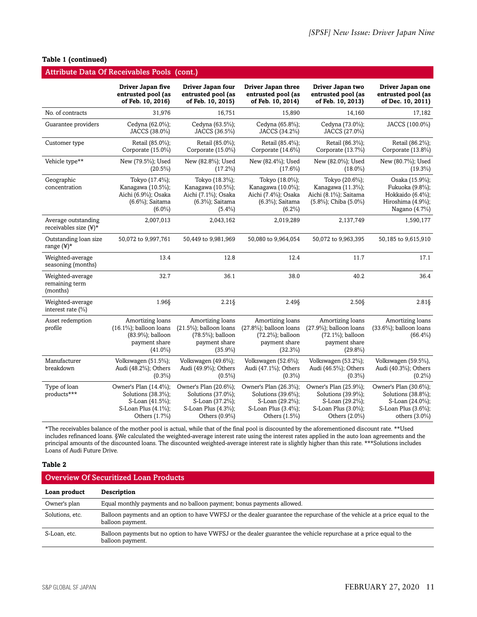| Table 1 (continued) |  |  |
|---------------------|--|--|
|---------------------|--|--|

| <b>Attribute Data Of Receivables Pools (cont.)</b> |                                                                                                        |                                                                                                        |                                                                                                        |                                                                                                        |                                                                                                           |
|----------------------------------------------------|--------------------------------------------------------------------------------------------------------|--------------------------------------------------------------------------------------------------------|--------------------------------------------------------------------------------------------------------|--------------------------------------------------------------------------------------------------------|-----------------------------------------------------------------------------------------------------------|
|                                                    | Driver Japan five<br>entrusted pool (as<br>of Feb. 10, 2016)                                           | Driver Japan four<br>entrusted pool (as<br>of Feb. 10, 2015)                                           | Driver Japan three<br>entrusted pool (as<br>of Feb. 10, 2014)                                          | Driver Japan two<br>entrusted pool (as<br>of Feb. 10, 2013)                                            | Driver Japan one<br>entrusted pool (as<br>of Dec. 10, 2011)                                               |
| No. of contracts                                   | 31,976                                                                                                 | 16,751                                                                                                 | 15,890                                                                                                 | 14.160                                                                                                 | 17,182                                                                                                    |
| Guarantee providers                                | Cedyna (62.0%);<br>JACCS (38.0%)                                                                       | Cedyna (63.5%);<br>JACCS (36.5%)                                                                       | Cedyna (65.8%);<br>JACCS (34.2%)                                                                       | Cedyna (73.0%);<br>JACCS (27.0%)                                                                       | JACCS (100.0%)                                                                                            |
| Customer type                                      | Retail (85.0%);<br>Corporate (15.0%)                                                                   | Retail (85.0%);<br>Corporate (15.0%)                                                                   | Retail (85.4%);<br>Corporate (14.6%)                                                                   | Retail (86.3%);<br>Corporate (13.7%)                                                                   | Retail (86.2%);<br>Corporate (13.8%)                                                                      |
| Vehicle type**                                     | New (79.5%); Used<br>$(20.5\%)$                                                                        | New (82.8%); Used<br>$(17.2\%)$                                                                        | New (82.4%); Used<br>$(17.6\%)$                                                                        | New (82.0%); Used<br>$(18.0\%)$                                                                        | New (80.7%); Used<br>$(19.3\%)$                                                                           |
| Geographic<br>concentration                        | Tokyo (17.4%);<br>Kanagawa (10.5%);<br>Aichi (6.9%); Osaka<br>(6.6%); Saitama<br>$(6.0\%)$             | Tokyo (18.3%);<br>Kanagawa (10.5%);<br>Aichi (7.1%); Osaka<br>(6.3%); Saitama<br>$(5.4\%)$             | Tokyo (18.0%);<br>Kanagawa (10.0%);<br>Aichi (7.4%); Osaka<br>(6.3%); Saitama<br>$(6.2\%)$             | Tokyo (20.6%);<br>Kanagawa (11.3%);<br>Aichi (8.1%); Saitama<br>(5.8%); Chiba (5.0%)                   | Osaka (15.9%);<br>Fukuoka (9.8%);<br>Hokkaido (6.4%);<br>Hiroshima (4.9%);<br>Nagano (4.7%)               |
| Average outstanding<br>receivables size $(\yen)^*$ | 2,007,013                                                                                              | 2,043,162                                                                                              | 2,019,289                                                                                              | 2,137,749                                                                                              | 1,590,177                                                                                                 |
| Outstanding loan size<br>range $(\yen)^*$          | 50,072 to 9,997,761                                                                                    | 50,449 to 9,981,969                                                                                    | 50,080 to 9,964,054                                                                                    | 50,072 to 9,963,395                                                                                    | 50,185 to 9,615,910                                                                                       |
| Weighted-average<br>seasoning (months)             | 13.4                                                                                                   | 12.8                                                                                                   | 12.4                                                                                                   | 11.7                                                                                                   | 17.1                                                                                                      |
| Weighted-average<br>remaining term<br>(months)     | 32.7                                                                                                   | 36.1                                                                                                   | 38.0                                                                                                   | 40.2                                                                                                   | 36.4                                                                                                      |
| Weighted-average<br>interest rate $(\% )$          | 1.96§                                                                                                  | $2.21\S$                                                                                               | $2.49\S$                                                                                               | $2.50\S$                                                                                               | $2.81\S$                                                                                                  |
| Asset redemption<br>profile                        | Amortizing loans<br>$(16.1\%)$ ; balloon loans<br>(83.9%); balloon<br>payment share<br>$(41.0\%)$      | Amortizing loans<br>$(21.5\%)$ ; balloon loans<br>(78.5%); balloon<br>payment share<br>$(35.9\%)$      | Amortizing loans<br>$(27.8\%)$ ; balloon loans<br>(72.2%); balloon<br>payment share<br>$(32.3\%)$      | Amortizing loans<br>$(27.9\%)$ ; balloon loans<br>(72.1%); balloon<br>payment share<br>$(29.8\%)$      | Amortizing loans<br>$(33.6\%)$ ; balloon loans<br>$(66.4\%)$                                              |
| Manufacturer<br>breakdown                          | Volkswagen (51.5%);<br>Audi (48.2%); Others<br>$(0.3\%)$                                               | Volkswagen (49.6%);<br>Audi (49.9%); Others<br>$(0.5\%)$                                               | Volkswagen (52.6%);<br>Audi (47.1%); Others<br>$(0.3\%)$                                               | Volkswagen (53.2%);<br>Audi (46.5%); Others<br>$(0.3\%)$                                               | Volkswagen (59.5%),<br>Audi (40.3%); Others<br>$(0.2\%)$                                                  |
| Type of loan<br>products***                        | Owner's Plan (14.4%);<br>Solutions (38.3%);<br>S-Loan (41.5%);<br>S-Loan Plus (4.1%);<br>Others (1.7%) | Owner's Plan (20.6%);<br>Solutions (37.0%);<br>S-Loan (37.2%);<br>S-Loan Plus (4.3%);<br>Others (0.9%) | Owner's Plan (26.3%);<br>Solutions (39.6%);<br>S-Loan (29.2%);<br>S-Loan Plus (3.4%);<br>Others (1.5%) | Owner's Plan (25.9%);<br>Solutions (39.9%);<br>S-Loan (29.2%);<br>S-Loan Plus (3.0%);<br>Others (2.0%) | Owner's Plan (30.6%);<br>Solutions (38.8%);<br>S-Loan (24.0%);<br>S-Loan Plus (3.6%);<br>others $(3.0\%)$ |

\*The receivables balance of the mother pool is actual, while that of the final pool is discounted by the aforementioned discount rate. \*\*Used includes refinanced loans. §We calculated the weighted-average interest rate using the interest rates applied in the auto loan agreements and the principal amounts of the discounted loans. The discounted weighted-average interest rate is slightly higher than this rate. \*\*\*Solutions includes Loans of Audi Future Drive.

#### **Table 2**

#### Overview Of Securitized Loan Products

| Loan product    | <b>Description</b>                                                                                                                             |
|-----------------|------------------------------------------------------------------------------------------------------------------------------------------------|
| Owner's plan    | Equal monthly payments and no balloon payment; bonus payments allowed.                                                                         |
| Solutions, etc. | Balloon payments and an option to have VWFSJ or the dealer guarantee the repurchase of the vehicle at a price equal to the<br>balloon payment. |
| S-Loan, etc.    | Balloon payments but no option to have VWFSJ or the dealer guarantee the vehicle repurchase at a price equal to the<br>balloon payment.        |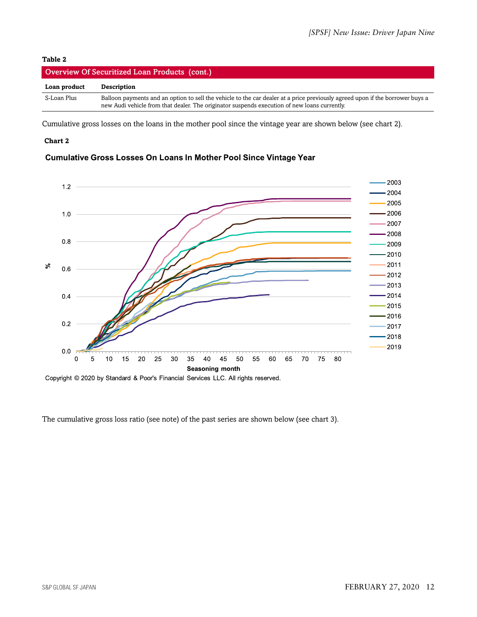#### **Table 2**

| Overview Of Securitized Loan Products (cont.) |                                                                                                                                                                                                                               |  |  |
|-----------------------------------------------|-------------------------------------------------------------------------------------------------------------------------------------------------------------------------------------------------------------------------------|--|--|
| Loan product                                  | Description                                                                                                                                                                                                                   |  |  |
| S-Loan Plus                                   | Balloon payments and an option to sell the vehicle to the car dealer at a price previously agreed upon if the borrower buys a<br>new Audi vehicle from that dealer. The originator suspends execution of new loans currently. |  |  |

Cumulative gross losses on the loans in the mother pool since the vintage year are shown below (see chart 2).

#### **Chart 2**

#### Cumulative Gross Losses On Loans In Mother Pool Since Vintage Year



The cumulative gross loss ratio (see note) of the past series are shown below (see chart 3).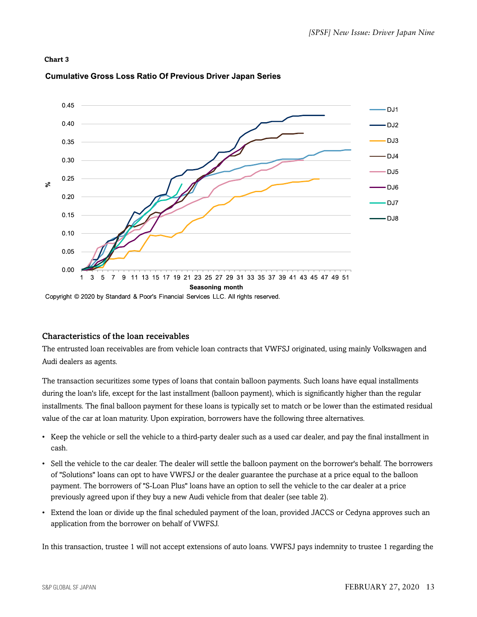#### **Chart 3**



#### **Cumulative Gross Loss Ratio Of Previous Driver Japan Series**

Copyright © 2020 by Standard & Poor's Financial Services LLC. All rights reserved.

#### Characteristics of the loan receivables

The entrusted loan receivables are from vehicle loan contracts that VWFSJ originated, using mainly Volkswagen and Audi dealers as agents.

The transaction securitizes some types of loans that contain balloon payments. Such loans have equal installments during the loan's life, except for the last installment (balloon payment), which is significantly higher than the regular installments. The final balloon payment for these loans is typically set to match or be lower than the estimated residual value of the car at loan maturity. Upon expiration, borrowers have the following three alternatives.

- Keep the vehicle or sell the vehicle to a third-party dealer such as a used car dealer, and pay the final installment in cash.
- Sell the vehicle to the car dealer. The dealer will settle the balloon payment on the borrower's behalf. The borrowers of "Solutions" loans can opt to have VWFSJ or the dealer guarantee the purchase at a price equal to the balloon payment. The borrowers of "S-Loan Plus" loans have an option to sell the vehicle to the car dealer at a price previously agreed upon if they buy a new Audi vehicle from that dealer (see table 2).
- Extend the loan or divide up the final scheduled payment of the loan, provided JACCS or Cedyna approves such an application from the borrower on behalf of VWFSJ.

In this transaction, trustee 1 will not accept extensions of auto loans. VWFSJ pays indemnity to trustee 1 regarding the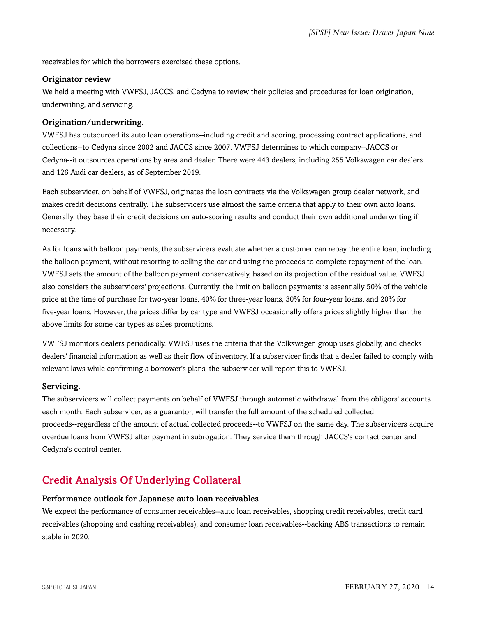receivables for which the borrowers exercised these options.

#### Originator review

We held a meeting with VWFSJ, JACCS, and Cedyna to review their policies and procedures for loan origination, underwriting, and servicing.

#### Origination/underwriting.

VWFSJ has outsourced its auto loan operations--including credit and scoring, processing contract applications, and collections--to Cedyna since 2002 and JACCS since 2007. VWFSJ determines to which company--JACCS or Cedyna--it outsources operations by area and dealer. There were 443 dealers, including 255 Volkswagen car dealers and 126 Audi car dealers, as of September 2019.

Each subservicer, on behalf of VWFSJ, originates the loan contracts via the Volkswagen group dealer network, and makes credit decisions centrally. The subservicers use almost the same criteria that apply to their own auto loans. Generally, they base their credit decisions on auto-scoring results and conduct their own additional underwriting if necessary.

As for loans with balloon payments, the subservicers evaluate whether a customer can repay the entire loan, including the balloon payment, without resorting to selling the car and using the proceeds to complete repayment of the loan. VWFSJ sets the amount of the balloon payment conservatively, based on its projection of the residual value. VWFSJ also considers the subservicers' projections. Currently, the limit on balloon payments is essentially 50% of the vehicle price at the time of purchase for two-year loans, 40% for three-year loans, 30% for four-year loans, and 20% for five-year loans. However, the prices differ by car type and VWFSJ occasionally offers prices slightly higher than the above limits for some car types as sales promotions.

VWFSJ monitors dealers periodically. VWFSJ uses the criteria that the Volkswagen group uses globally, and checks dealers' financial information as well as their flow of inventory. If a subservicer finds that a dealer failed to comply with relevant laws while confirming a borrower's plans, the subservicer will report this to VWFSJ.

#### Servicing.

The subservicers will collect payments on behalf of VWFSJ through automatic withdrawal from the obligors' accounts each month. Each subservicer, as a guarantor, will transfer the full amount of the scheduled collected proceeds--regardless of the amount of actual collected proceeds--to VWFSJ on the same day. The subservicers acquire overdue loans from VWFSJ after payment in subrogation. They service them through JACCS's contact center and Cedyna's control center.

# <span id="page-13-0"></span>Credit Analysis Of Underlying Collateral

#### Performance outlook for Japanese auto loan receivables

We expect the performance of consumer receivables--auto loan receivables, shopping credit receivables, credit card receivables (shopping and cashing receivables), and consumer loan receivables--backing ABS transactions to remain stable in 2020.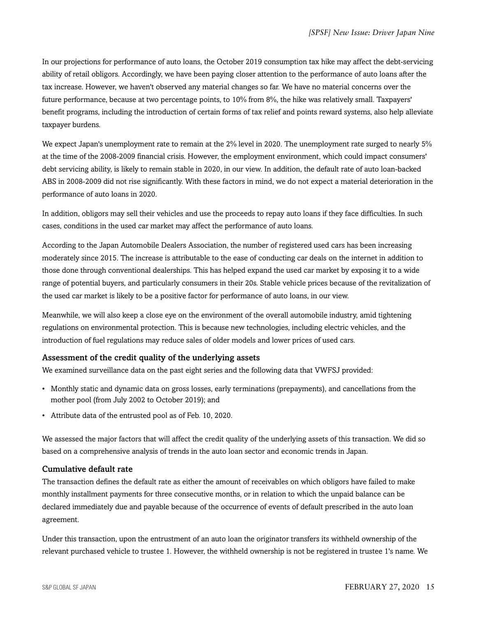In our projections for performance of auto loans, the October 2019 consumption tax hike may affect the debt-servicing ability of retail obligors. Accordingly, we have been paying closer attention to the performance of auto loans after the tax increase. However, we haven't observed any material changes so far. We have no material concerns over the future performance, because at two percentage points, to 10% from 8%, the hike was relatively small. Taxpayers' benefit programs, including the introduction of certain forms of tax relief and points reward systems, also help alleviate taxpayer burdens.

We expect Japan's unemployment rate to remain at the 2% level in 2020. The unemployment rate surged to nearly 5% at the time of the 2008-2009 financial crisis. However, the employment environment, which could impact consumers' debt servicing ability, is likely to remain stable in 2020, in our view. In addition, the default rate of auto loan-backed ABS in 2008-2009 did not rise significantly. With these factors in mind, we do not expect a material deterioration in the performance of auto loans in 2020.

In addition, obligors may sell their vehicles and use the proceeds to repay auto loans if they face difficulties. In such cases, conditions in the used car market may affect the performance of auto loans.

According to the Japan Automobile Dealers Association, the number of registered used cars has been increasing moderately since 2015. The increase is attributable to the ease of conducting car deals on the internet in addition to those done through conventional dealerships. This has helped expand the used car market by exposing it to a wide range of potential buyers, and particularly consumers in their 20s. Stable vehicle prices because of the revitalization of the used car market is likely to be a positive factor for performance of auto loans, in our view.

Meanwhile, we will also keep a close eye on the environment of the overall automobile industry, amid tightening regulations on environmental protection. This is because new technologies, including electric vehicles, and the introduction of fuel regulations may reduce sales of older models and lower prices of used cars.

#### Assessment of the credit quality of the underlying assets

We examined surveillance data on the past eight series and the following data that VWFSJ provided:

- Monthly static and dynamic data on gross losses, early terminations (prepayments), and cancellations from the mother pool (from July 2002 to October 2019); and
- Attribute data of the entrusted pool as of Feb. 10, 2020.

We assessed the major factors that will affect the credit quality of the underlying assets of this transaction. We did so based on a comprehensive analysis of trends in the auto loan sector and economic trends in Japan.

#### Cumulative default rate

The transaction defines the default rate as either the amount of receivables on which obligors have failed to make monthly installment payments for three consecutive months, or in relation to which the unpaid balance can be declared immediately due and payable because of the occurrence of events of default prescribed in the auto loan agreement.

Under this transaction, upon the entrustment of an auto loan the originator transfers its withheld ownership of the relevant purchased vehicle to trustee 1. However, the withheld ownership is not be registered in trustee 1's name. We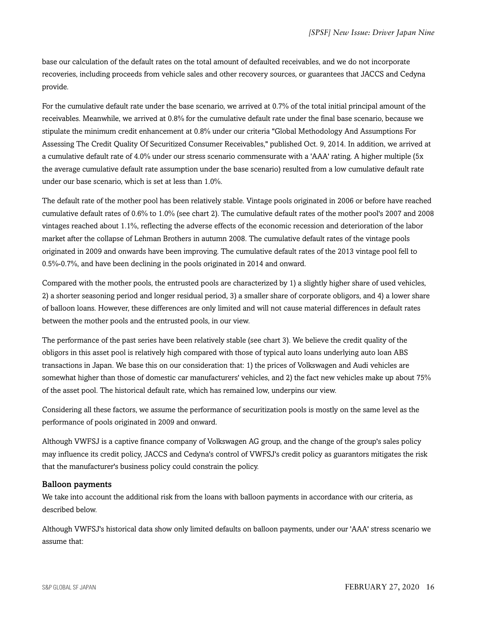base our calculation of the default rates on the total amount of defaulted receivables, and we do not incorporate recoveries, including proceeds from vehicle sales and other recovery sources, or guarantees that JACCS and Cedyna provide.

For the cumulative default rate under the base scenario, we arrived at 0.7% of the total initial principal amount of the receivables. Meanwhile, we arrived at 0.8% for the cumulative default rate under the final base scenario, because we stipulate the minimum credit enhancement at 0.8% under our criteria "Global Methodology And Assumptions For Assessing The Credit Quality Of Securitized Consumer Receivables," published Oct. 9, 2014. In addition, we arrived at a cumulative default rate of 4.0% under our stress scenario commensurate with a 'AAA' rating. A higher multiple (5x the average cumulative default rate assumption under the base scenario) resulted from a low cumulative default rate under our base scenario, which is set at less than 1.0%.

The default rate of the mother pool has been relatively stable. Vintage pools originated in 2006 or before have reached cumulative default rates of 0.6% to 1.0% (see chart 2). The cumulative default rates of the mother pool's 2007 and 2008 vintages reached about 1.1%, reflecting the adverse effects of the economic recession and deterioration of the labor market after the collapse of Lehman Brothers in autumn 2008. The cumulative default rates of the vintage pools originated in 2009 and onwards have been improving. The cumulative default rates of the 2013 vintage pool fell to 0.5%-0.7%, and have been declining in the pools originated in 2014 and onward.

Compared with the mother pools, the entrusted pools are characterized by 1) a slightly higher share of used vehicles, 2) a shorter seasoning period and longer residual period, 3) a smaller share of corporate obligors, and 4) a lower share of balloon loans. However, these differences are only limited and will not cause material differences in default rates between the mother pools and the entrusted pools, in our view.

The performance of the past series have been relatively stable (see chart 3). We believe the credit quality of the obligors in this asset pool is relatively high compared with those of typical auto loans underlying auto loan ABS transactions in Japan. We base this on our consideration that: 1) the prices of Volkswagen and Audi vehicles are somewhat higher than those of domestic car manufacturers' vehicles, and 2) the fact new vehicles make up about 75% of the asset pool. The historical default rate, which has remained low, underpins our view.

Considering all these factors, we assume the performance of securitization pools is mostly on the same level as the performance of pools originated in 2009 and onward.

Although VWFSJ is a captive finance company of Volkswagen AG group, and the change of the group's sales policy may influence its credit policy, JACCS and Cedyna's control of VWFSJ's credit policy as guarantors mitigates the risk that the manufacturer's business policy could constrain the policy.

#### Balloon payments

We take into account the additional risk from the loans with balloon payments in accordance with our criteria, as described below.

Although VWFSJ's historical data show only limited defaults on balloon payments, under our 'AAA' stress scenario we assume that: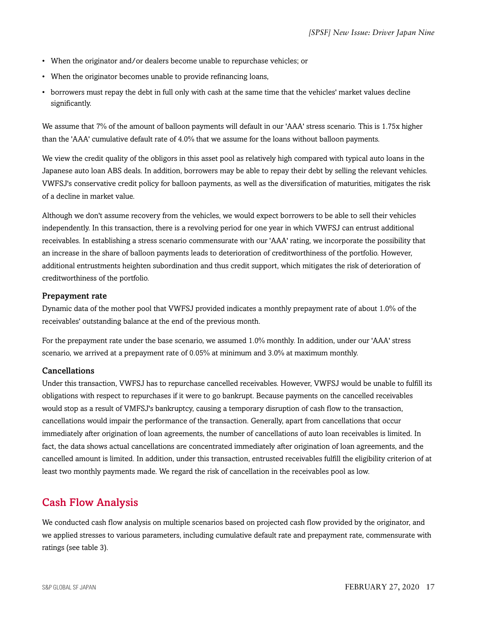- When the originator and/or dealers become unable to repurchase vehicles; or
- When the originator becomes unable to provide refinancing loans,
- borrowers must repay the debt in full only with cash at the same time that the vehicles' market values decline significantly.

We assume that 7% of the amount of balloon payments will default in our 'AAA' stress scenario. This is 1.75x higher than the 'AAA' cumulative default rate of 4.0% that we assume for the loans without balloon payments.

We view the credit quality of the obligors in this asset pool as relatively high compared with typical auto loans in the Japanese auto loan ABS deals. In addition, borrowers may be able to repay their debt by selling the relevant vehicles. VWFSJ's conservative credit policy for balloon payments, as well as the diversification of maturities, mitigates the risk of a decline in market value.

Although we don't assume recovery from the vehicles, we would expect borrowers to be able to sell their vehicles independently. In this transaction, there is a revolving period for one year in which VWFSJ can entrust additional receivables. In establishing a stress scenario commensurate with our 'AAA' rating, we incorporate the possibility that an increase in the share of balloon payments leads to deterioration of creditworthiness of the portfolio. However, additional entrustments heighten subordination and thus credit support, which mitigates the risk of deterioration of creditworthiness of the portfolio.

#### Prepayment rate

Dynamic data of the mother pool that VWFSJ provided indicates a monthly prepayment rate of about 1.0% of the receivables' outstanding balance at the end of the previous month.

For the prepayment rate under the base scenario, we assumed 1.0% monthly. In addition, under our 'AAA' stress scenario, we arrived at a prepayment rate of 0.05% at minimum and 3.0% at maximum monthly.

#### Cancellations

Under this transaction, VWFSJ has to repurchase cancelled receivables. However, VWFSJ would be unable to fulfill its obligations with respect to repurchases if it were to go bankrupt. Because payments on the cancelled receivables would stop as a result of VMFSJ's bankruptcy, causing a temporary disruption of cash flow to the transaction, cancellations would impair the performance of the transaction. Generally, apart from cancellations that occur immediately after origination of loan agreements, the number of cancellations of auto loan receivables is limited. In fact, the data shows actual cancellations are concentrated immediately after origination of loan agreements, and the cancelled amount is limited. In addition, under this transaction, entrusted receivables fulfill the eligibility criterion of at least two monthly payments made. We regard the risk of cancellation in the receivables pool as low.

# <span id="page-16-0"></span>Cash Flow Analysis

We conducted cash flow analysis on multiple scenarios based on projected cash flow provided by the originator, and we applied stresses to various parameters, including cumulative default rate and prepayment rate, commensurate with ratings (see table 3).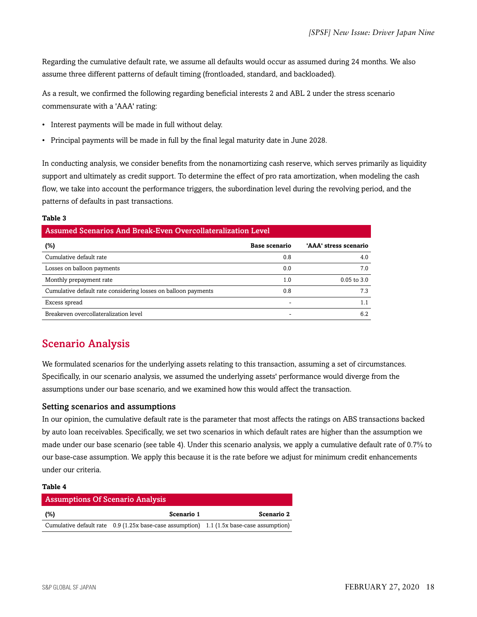Regarding the cumulative default rate, we assume all defaults would occur as assumed during 24 months. We also assume three different patterns of default timing (frontloaded, standard, and backloaded).

As a result, we confirmed the following regarding beneficial interests 2 and ABL 2 under the stress scenario commensurate with a 'AAA' rating:

- Interest payments will be made in full without delay.
- Principal payments will be made in full by the final legal maturity date in June 2028.

In conducting analysis, we consider benefits from the nonamortizing cash reserve, which serves primarily as liquidity support and ultimately as credit support. To determine the effect of pro rata amortization, when modeling the cash flow, we take into account the performance triggers, the subordination level during the revolving period, and the patterns of defaults in past transactions.

#### **Table 3**

| Assumed Scenarios And Break-Even Overcollateralization Level   |               |                       |  |  |
|----------------------------------------------------------------|---------------|-----------------------|--|--|
| $(\%)$                                                         | Base scenario | 'AAA' stress scenario |  |  |
| Cumulative default rate                                        | 0.8           | 4.0                   |  |  |
| Losses on balloon payments                                     | 0.0           | 7.0                   |  |  |
| Monthly prepayment rate                                        | 1.0           | $0.05$ to $3.0$       |  |  |
| Cumulative default rate considering losses on balloon payments | 0.8           | 7.3                   |  |  |
| Excess spread                                                  |               | 1.1                   |  |  |
| Breakeven overcollateralization level                          | -             | 6.2                   |  |  |

# <span id="page-17-0"></span>Scenario Analysis

We formulated scenarios for the underlying assets relating to this transaction, assuming a set of circumstances. Specifically, in our scenario analysis, we assumed the underlying assets' performance would diverge from the assumptions under our base scenario, and we examined how this would affect the transaction.

#### Setting scenarios and assumptions

In our opinion, the cumulative default rate is the parameter that most affects the ratings on ABS transactions backed by auto loan receivables. Specifically, we set two scenarios in which default rates are higher than the assumption we made under our base scenario (see table 4). Under this scenario analysis, we apply a cumulative default rate of 0.7% to our base-case assumption. We apply this because it is the rate before we adjust for minimum credit enhancements under our criteria.

#### **Table 4**

| <b>Assumptions Of Scenario Analysis</b> |                                                                                            |            |
|-----------------------------------------|--------------------------------------------------------------------------------------------|------------|
| (%)                                     | Scenario 1                                                                                 | Scenario 2 |
|                                         | Cumulative default rate $0.9$ (1.25x base-case assumption) 1.1 (1.5x base-case assumption) |            |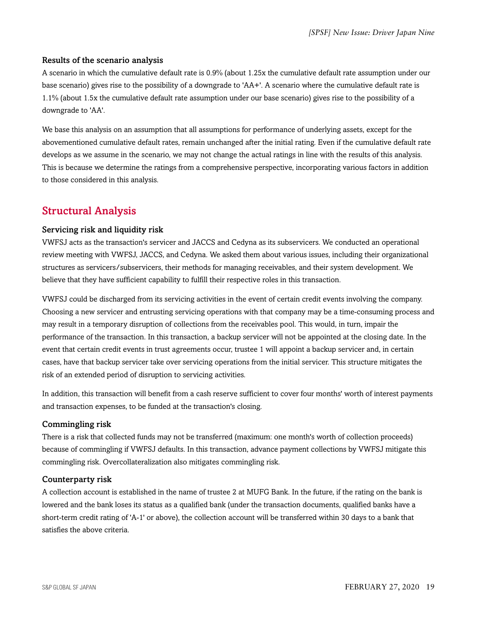#### Results of the scenario analysis

A scenario in which the cumulative default rate is 0.9% (about 1.25x the cumulative default rate assumption under our base scenario) gives rise to the possibility of a downgrade to 'AA+'. A scenario where the cumulative default rate is 1.1% (about 1.5x the cumulative default rate assumption under our base scenario) gives rise to the possibility of a downgrade to 'AA'.

We base this analysis on an assumption that all assumptions for performance of underlying assets, except for the abovementioned cumulative default rates, remain unchanged after the initial rating. Even if the cumulative default rate develops as we assume in the scenario, we may not change the actual ratings in line with the results of this analysis. This is because we determine the ratings from a comprehensive perspective, incorporating various factors in addition to those considered in this analysis.

# <span id="page-18-0"></span>Structural Analysis

#### Servicing risk and liquidity risk

VWFSJ acts as the transaction's servicer and JACCS and Cedyna as its subservicers. We conducted an operational review meeting with VWFSJ, JACCS, and Cedyna. We asked them about various issues, including their organizational structures as servicers/subservicers, their methods for managing receivables, and their system development. We believe that they have sufficient capability to fulfill their respective roles in this transaction.

VWFSJ could be discharged from its servicing activities in the event of certain credit events involving the company. Choosing a new servicer and entrusting servicing operations with that company may be a time-consuming process and may result in a temporary disruption of collections from the receivables pool. This would, in turn, impair the performance of the transaction. In this transaction, a backup servicer will not be appointed at the closing date. In the event that certain credit events in trust agreements occur, trustee 1 will appoint a backup servicer and, in certain cases, have that backup servicer take over servicing operations from the initial servicer. This structure mitigates the risk of an extended period of disruption to servicing activities.

In addition, this transaction will benefit from a cash reserve sufficient to cover four months' worth of interest payments and transaction expenses, to be funded at the transaction's closing.

#### Commingling risk

There is a risk that collected funds may not be transferred (maximum: one month's worth of collection proceeds) because of commingling if VWFSJ defaults. In this transaction, advance payment collections by VWFSJ mitigate this commingling risk. Overcollateralization also mitigates commingling risk.

#### Counterparty risk

A collection account is established in the name of trustee 2 at MUFG Bank. In the future, if the rating on the bank is lowered and the bank loses its status as a qualified bank (under the transaction documents, qualified banks have a short-term credit rating of 'A-1' or above), the collection account will be transferred within 30 days to a bank that satisfies the above criteria.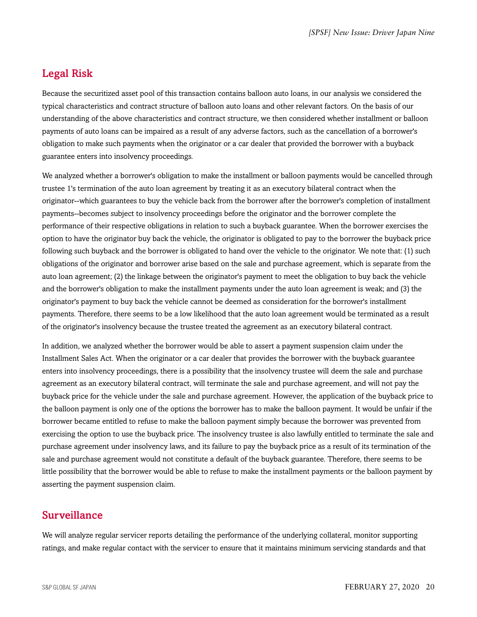# <span id="page-19-0"></span>Legal Risk

Because the securitized asset pool of this transaction contains balloon auto loans, in our analysis we considered the typical characteristics and contract structure of balloon auto loans and other relevant factors. On the basis of our understanding of the above characteristics and contract structure, we then considered whether installment or balloon payments of auto loans can be impaired as a result of any adverse factors, such as the cancellation of a borrower's obligation to make such payments when the originator or a car dealer that provided the borrower with a buyback guarantee enters into insolvency proceedings.

We analyzed whether a borrower's obligation to make the installment or balloon payments would be cancelled through trustee 1's termination of the auto loan agreement by treating it as an executory bilateral contract when the originator--which guarantees to buy the vehicle back from the borrower after the borrower's completion of installment payments--becomes subject to insolvency proceedings before the originator and the borrower complete the performance of their respective obligations in relation to such a buyback guarantee. When the borrower exercises the option to have the originator buy back the vehicle, the originator is obligated to pay to the borrower the buyback price following such buyback and the borrower is obligated to hand over the vehicle to the originator. We note that: (1) such obligations of the originator and borrower arise based on the sale and purchase agreement, which is separate from the auto loan agreement; (2) the linkage between the originator's payment to meet the obligation to buy back the vehicle and the borrower's obligation to make the installment payments under the auto loan agreement is weak; and (3) the originator's payment to buy back the vehicle cannot be deemed as consideration for the borrower's installment payments. Therefore, there seems to be a low likelihood that the auto loan agreement would be terminated as a result of the originator's insolvency because the trustee treated the agreement as an executory bilateral contract.

In addition, we analyzed whether the borrower would be able to assert a payment suspension claim under the Installment Sales Act. When the originator or a car dealer that provides the borrower with the buyback guarantee enters into insolvency proceedings, there is a possibility that the insolvency trustee will deem the sale and purchase agreement as an executory bilateral contract, will terminate the sale and purchase agreement, and will not pay the buyback price for the vehicle under the sale and purchase agreement. However, the application of the buyback price to the balloon payment is only one of the options the borrower has to make the balloon payment. It would be unfair if the borrower became entitled to refuse to make the balloon payment simply because the borrower was prevented from exercising the option to use the buyback price. The insolvency trustee is also lawfully entitled to terminate the sale and purchase agreement under insolvency laws, and its failure to pay the buyback price as a result of its termination of the sale and purchase agreement would not constitute a default of the buyback guarantee. Therefore, there seems to be little possibility that the borrower would be able to refuse to make the installment payments or the balloon payment by asserting the payment suspension claim.

# <span id="page-19-1"></span>Surveillance

We will analyze regular servicer reports detailing the performance of the underlying collateral, monitor supporting ratings, and make regular contact with the servicer to ensure that it maintains minimum servicing standards and that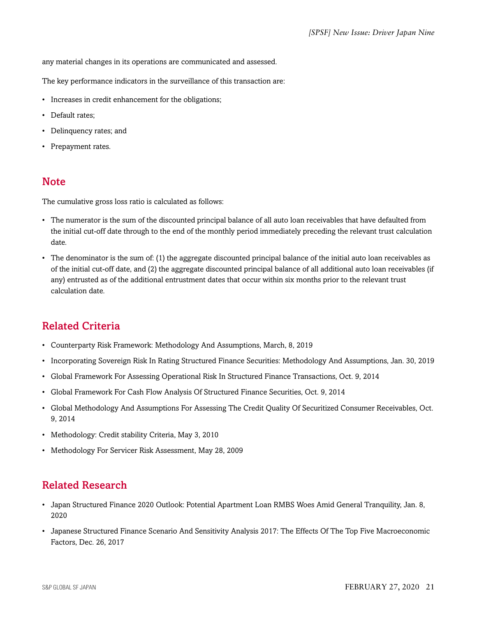any material changes in its operations are communicated and assessed.

The key performance indicators in the surveillance of this transaction are:

- Increases in credit enhancement for the obligations;
- Default rates;
- Delinquency rates; and
- Prepayment rates.

# <span id="page-20-0"></span>**Note**

The cumulative gross loss ratio is calculated as follows:

- The numerator is the sum of the discounted principal balance of all auto loan receivables that have defaulted from the initial cut-off date through to the end of the monthly period immediately preceding the relevant trust calculation date.
- The denominator is the sum of: (1) the aggregate discounted principal balance of the initial auto loan receivables as of the initial cut-off date, and (2) the aggregate discounted principal balance of all additional auto loan receivables (if any) entrusted as of the additional entrustment dates that occur within six months prior to the relevant trust calculation date.

# <span id="page-20-1"></span>Related Criteria

- Counterparty Risk Framework: Methodology And Assumptions, March, 8, 2019
- Incorporating Sovereign Risk In Rating Structured Finance Securities: Methodology And Assumptions, Jan. 30, 2019
- Global Framework For Assessing Operational Risk In Structured Finance Transactions, Oct. 9, 2014
- Global Framework For Cash Flow Analysis Of Structured Finance Securities, Oct. 9, 2014
- Global Methodology And Assumptions For Assessing The Credit Quality Of Securitized Consumer Receivables, Oct. 9, 2014
- Methodology: Credit stability Criteria, May 3, 2010
- Methodology For Servicer Risk Assessment, May 28, 2009

# <span id="page-20-2"></span>Related Research

- Japan Structured Finance 2020 Outlook: Potential Apartment Loan RMBS Woes Amid General Tranquility, Jan. 8, 2020
- Japanese Structured Finance Scenario And Sensitivity Analysis 2017: The Effects Of The Top Five Macroeconomic Factors, Dec. 26, 2017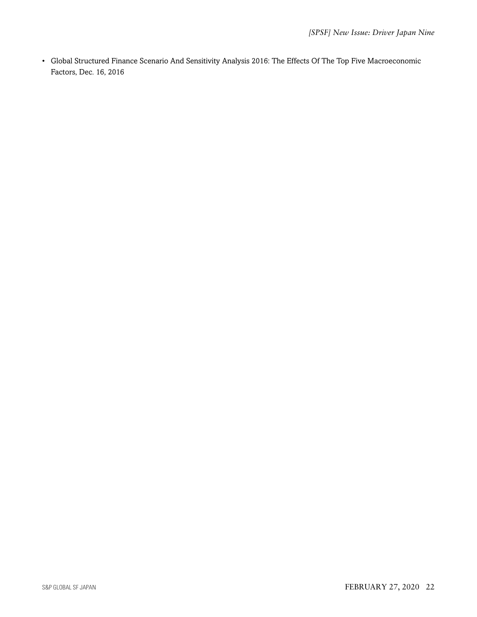• Global Structured Finance Scenario And Sensitivity Analysis 2016: The Effects Of The Top Five Macroeconomic Factors, Dec. 16, 2016